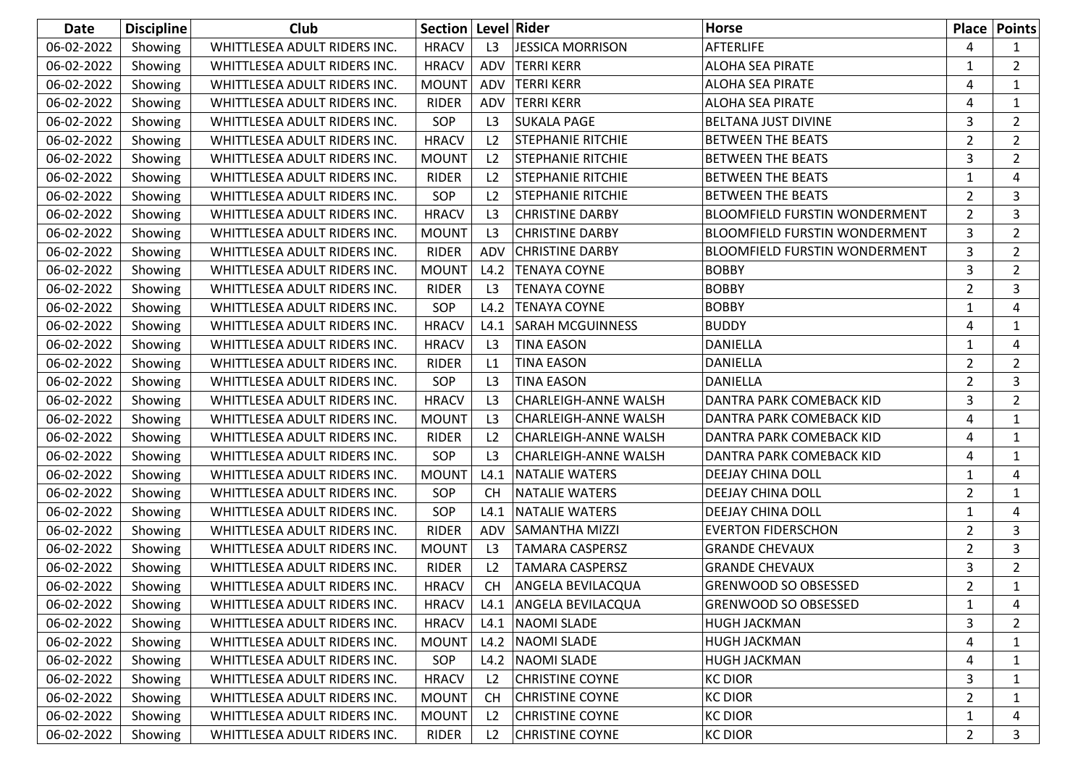| Date       | <b>Discipline</b> | Club                         | Section   Level   Rider |                |                             | <b>Horse</b>                         |                | <b>Place Points</b> |
|------------|-------------------|------------------------------|-------------------------|----------------|-----------------------------|--------------------------------------|----------------|---------------------|
| 06-02-2022 | Showing           | WHITTLESEA ADULT RIDERS INC. | <b>HRACV</b>            | L3             | JESSICA MORRISON            | <b>AFTERLIFE</b>                     | 4              | 1                   |
| 06-02-2022 | Showing           | WHITTLESEA ADULT RIDERS INC. | <b>HRACV</b>            | ADV            | <b>TERRI KERR</b>           | <b>ALOHA SEA PIRATE</b>              | 1              | $\overline{2}$      |
| 06-02-2022 | Showing           | WHITTLESEA ADULT RIDERS INC. | <b>MOUNT</b>            | ADV            | <b>TERRI KERR</b>           | ALOHA SEA PIRATE                     | 4              | 1                   |
| 06-02-2022 | Showing           | WHITTLESEA ADULT RIDERS INC. | <b>RIDER</b>            | ADV            | <b>TERRI KERR</b>           | <b>ALOHA SEA PIRATE</b>              | 4              | 1                   |
| 06-02-2022 | Showing           | WHITTLESEA ADULT RIDERS INC. | SOP                     | L3             | <b>SUKALA PAGE</b>          | BELTANA JUST DIVINE                  | 3              | $\overline{2}$      |
| 06-02-2022 | Showing           | WHITTLESEA ADULT RIDERS INC. | <b>HRACV</b>            | L2             | <b>STEPHANIE RITCHIE</b>    | <b>BETWEEN THE BEATS</b>             | $\overline{2}$ | $\overline{2}$      |
| 06-02-2022 | Showing           | WHITTLESEA ADULT RIDERS INC. | <b>MOUNT</b>            | L2             | <b>STEPHANIE RITCHIE</b>    | <b>BETWEEN THE BEATS</b>             | 3              | $\overline{2}$      |
| 06-02-2022 | Showing           | WHITTLESEA ADULT RIDERS INC. | <b>RIDER</b>            | L2             | <b>STEPHANIE RITCHIE</b>    | <b>BETWEEN THE BEATS</b>             | 1              | 4                   |
| 06-02-2022 | Showing           | WHITTLESEA ADULT RIDERS INC. | SOP                     | L2             | <b>STEPHANIE RITCHIE</b>    | <b>BETWEEN THE BEATS</b>             | $\overline{2}$ | 3                   |
| 06-02-2022 | Showing           | WHITTLESEA ADULT RIDERS INC. | <b>HRACV</b>            | L3             | <b>CHRISTINE DARBY</b>      | <b>BLOOMFIELD FURSTIN WONDERMENT</b> | $\overline{2}$ | 3                   |
| 06-02-2022 | Showing           | WHITTLESEA ADULT RIDERS INC. | <b>MOUNT</b>            | L3             | <b>CHRISTINE DARBY</b>      | <b>BLOOMFIELD FURSTIN WONDERMENT</b> | 3              | $\overline{2}$      |
| 06-02-2022 | Showing           | WHITTLESEA ADULT RIDERS INC. | <b>RIDER</b>            | ADV            | <b>CHRISTINE DARBY</b>      | <b>BLOOMFIELD FURSTIN WONDERMENT</b> | 3              | $\overline{2}$      |
| 06-02-2022 | Showing           | WHITTLESEA ADULT RIDERS INC. | <b>MOUNT</b>            | L4.2           | <b>TENAYA COYNE</b>         | <b>BOBBY</b>                         | 3              | $\overline{2}$      |
| 06-02-2022 | Showing           | WHITTLESEA ADULT RIDERS INC. | <b>RIDER</b>            | L3             | <b>TENAYA COYNE</b>         | <b>BOBBY</b>                         | $\overline{2}$ | 3                   |
| 06-02-2022 | Showing           | WHITTLESEA ADULT RIDERS INC. | SOP                     | L4.2           | <b>TENAYA COYNE</b>         | <b>BOBBY</b>                         | 1              | 4                   |
| 06-02-2022 | Showing           | WHITTLESEA ADULT RIDERS INC. | <b>HRACV</b>            | L4.1           | <b>SARAH MCGUINNESS</b>     | <b>BUDDY</b>                         | 4              | 1                   |
| 06-02-2022 | Showing           | WHITTLESEA ADULT RIDERS INC. | <b>HRACV</b>            | L3             | <b>TINA EASON</b>           | DANIELLA                             | 1              | 4                   |
| 06-02-2022 | Showing           | WHITTLESEA ADULT RIDERS INC. | <b>RIDER</b>            | L1             | <b>TINA EASON</b>           | <b>DANIELLA</b>                      | $\overline{2}$ | $\overline{2}$      |
| 06-02-2022 | Showing           | WHITTLESEA ADULT RIDERS INC. | SOP                     | L3             | <b>TINA EASON</b>           | DANIELLA                             | $\overline{2}$ | 3                   |
| 06-02-2022 | Showing           | WHITTLESEA ADULT RIDERS INC. | <b>HRACV</b>            | L3             | <b>CHARLEIGH-ANNE WALSH</b> | DANTRA PARK COMEBACK KID             | 3              | $\overline{2}$      |
| 06-02-2022 | Showing           | WHITTLESEA ADULT RIDERS INC. | <b>MOUNT</b>            | L3             | <b>CHARLEIGH-ANNE WALSH</b> | DANTRA PARK COMEBACK KID             | 4              | 1                   |
| 06-02-2022 | Showing           | WHITTLESEA ADULT RIDERS INC. | <b>RIDER</b>            | L2             | <b>CHARLEIGH-ANNE WALSH</b> | DANTRA PARK COMEBACK KID             | 4              | 1                   |
| 06-02-2022 | Showing           | WHITTLESEA ADULT RIDERS INC. | SOP                     | L3             | CHARLEIGH-ANNE WALSH        | DANTRA PARK COMEBACK KID             | 4              | 1                   |
| 06-02-2022 | Showing           | WHITTLESEA ADULT RIDERS INC. | <b>MOUNT</b>            | L4.1           | NATALIE WATERS              | DEEJAY CHINA DOLL                    | 1              | 4                   |
| 06-02-2022 | Showing           | WHITTLESEA ADULT RIDERS INC. | SOP                     | <b>CH</b>      | <b>NATALIE WATERS</b>       | DEEJAY CHINA DOLL                    | $\overline{2}$ | 1                   |
| 06-02-2022 | Showing           | WHITTLESEA ADULT RIDERS INC. | SOP                     | L4.1           | <b>NATALIE WATERS</b>       | DEEJAY CHINA DOLL                    | 1              | 4                   |
| 06-02-2022 | Showing           | WHITTLESEA ADULT RIDERS INC. | <b>RIDER</b>            | ADV            | <b>SAMANTHA MIZZI</b>       | <b>EVERTON FIDERSCHON</b>            | $\overline{2}$ | 3                   |
| 06-02-2022 | Showing           | WHITTLESEA ADULT RIDERS INC. | <b>MOUNT</b>            | L3             | <b>TAMARA CASPERSZ</b>      | <b>GRANDE CHEVAUX</b>                | $\overline{2}$ | 3                   |
| 06-02-2022 | Showing           | WHITTLESEA ADULT RIDERS INC. | <b>RIDER</b>            | L <sub>2</sub> | TAMARA CASPERSZ             | <b>GRANDE CHEVAUX</b>                | 3              | $\overline{2}$      |
| 06-02-2022 | Showing           | WHITTLESEA ADULT RIDERS INC. | <b>HRACV</b>            | <b>CH</b>      | <b>ANGELA BEVILACQUA</b>    | <b>GRENWOOD SO OBSESSED</b>          | 2              | $\mathbf{1}$        |
| 06-02-2022 | Showing           | WHITTLESEA ADULT RIDERS INC. | <b>HRACV</b>            |                | L4.1 ANGELA BEVILACQUA      | <b>GRENWOOD SO OBSESSED</b>          | 1              | 4                   |
| 06-02-2022 | Showing           | WHITTLESEA ADULT RIDERS INC. | <b>HRACV</b>            | L4.1           | <b>NAOMI SLADE</b>          | HUGH JACKMAN                         | 3              | 2                   |
| 06-02-2022 | Showing           | WHITTLESEA ADULT RIDERS INC. | <b>MOUNT</b>            | L4.2           | <b>NAOMI SLADE</b>          | HUGH JACKMAN                         | 4              | 1                   |
| 06-02-2022 | Showing           | WHITTLESEA ADULT RIDERS INC. | SOP                     | L4.2           | <b>NAOMI SLADE</b>          | HUGH JACKMAN                         | 4              | 1                   |
| 06-02-2022 | Showing           | WHITTLESEA ADULT RIDERS INC. | <b>HRACV</b>            | L <sub>2</sub> | <b>CHRISTINE COYNE</b>      | <b>KC DIOR</b>                       | 3              | 1                   |
| 06-02-2022 | Showing           | WHITTLESEA ADULT RIDERS INC. | <b>MOUNT</b>            | <b>CH</b>      | <b>CHRISTINE COYNE</b>      | <b>KC DIOR</b>                       | $\overline{2}$ | 1                   |
| 06-02-2022 | Showing           | WHITTLESEA ADULT RIDERS INC. | <b>MOUNT</b>            | L2             | <b>CHRISTINE COYNE</b>      | <b>KC DIOR</b>                       | 1              | 4                   |
| 06-02-2022 | Showing           | WHITTLESEA ADULT RIDERS INC. | RIDER                   | L2             | <b>CHRISTINE COYNE</b>      | <b>KC DIOR</b>                       | $\overline{2}$ | 3                   |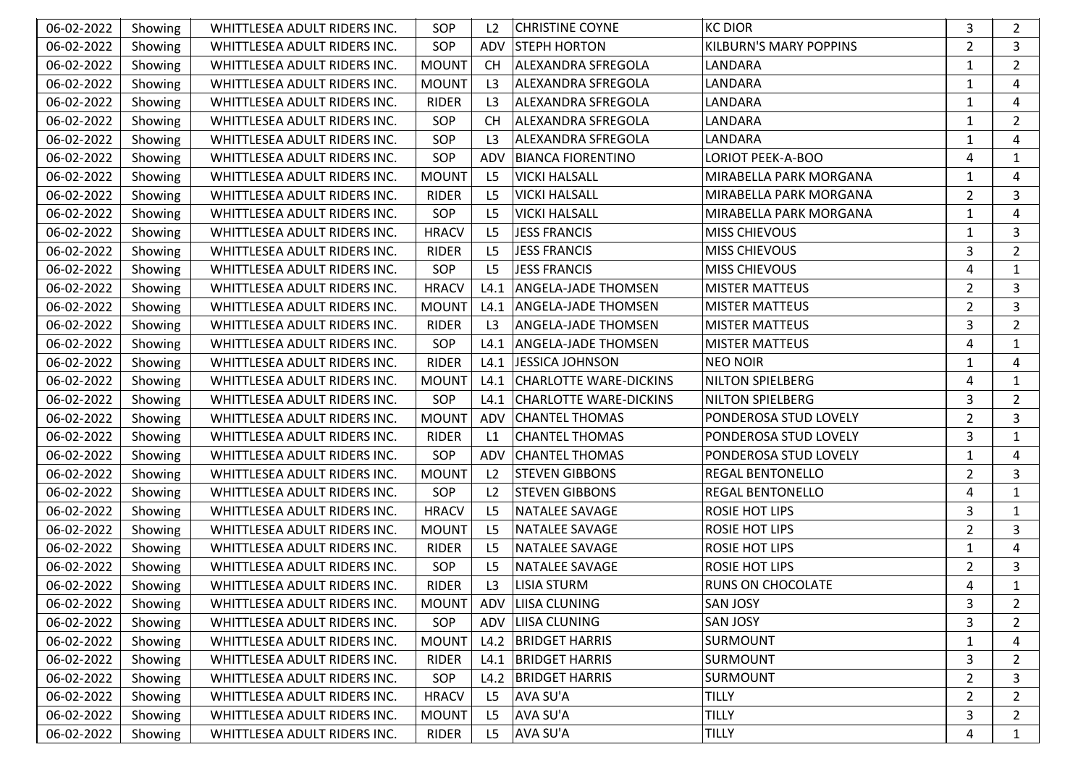| 06-02-2022 | Showing | WHITTLESEA ADULT RIDERS INC. | SOP          | L2             | <b>CHRISTINE COYNE</b>        | <b>KC DIOR</b>                | 3              | $\overline{2}$ |
|------------|---------|------------------------------|--------------|----------------|-------------------------------|-------------------------------|----------------|----------------|
| 06-02-2022 | Showing | WHITTLESEA ADULT RIDERS INC. | SOP          | ADV            | <b>STEPH HORTON</b>           | <b>KILBURN'S MARY POPPINS</b> | $\overline{2}$ | 3              |
| 06-02-2022 | Showing | WHITTLESEA ADULT RIDERS INC. | <b>MOUNT</b> | <b>CH</b>      | ALEXANDRA SFREGOLA            | LANDARA                       | 1              | $\overline{2}$ |
| 06-02-2022 | Showing | WHITTLESEA ADULT RIDERS INC. | <b>MOUNT</b> | L <sub>3</sub> | <b>ALEXANDRA SFREGOLA</b>     | LANDARA                       | 1              | 4              |
| 06-02-2022 | Showing | WHITTLESEA ADULT RIDERS INC. | <b>RIDER</b> | L3             | ALEXANDRA SFREGOLA            | LANDARA                       | 1              | 4              |
| 06-02-2022 | Showing | WHITTLESEA ADULT RIDERS INC. | SOP          | <b>CH</b>      | <b>ALEXANDRA SFREGOLA</b>     | LANDARA                       | 1              | $\overline{2}$ |
| 06-02-2022 | Showing | WHITTLESEA ADULT RIDERS INC. | SOP          | L3             | <b>ALEXANDRA SFREGOLA</b>     | LANDARA                       | 1              | 4              |
| 06-02-2022 | Showing | WHITTLESEA ADULT RIDERS INC. | SOP          | ADV            | <b>BIANCA FIORENTINO</b>      | <b>LORIOT PEEK-A-BOO</b>      | 4              | 1              |
| 06-02-2022 | Showing | WHITTLESEA ADULT RIDERS INC. | <b>MOUNT</b> | L <sub>5</sub> | <b>VICKI HALSALL</b>          | MIRABELLA PARK MORGANA        | 1              | 4              |
| 06-02-2022 | Showing | WHITTLESEA ADULT RIDERS INC. | <b>RIDER</b> | L <sub>5</sub> | <b>VICKI HALSALL</b>          | MIRABELLA PARK MORGANA        | $\overline{2}$ | 3              |
| 06-02-2022 | Showing | WHITTLESEA ADULT RIDERS INC. | SOP          | L <sub>5</sub> | <b>VICKI HALSALL</b>          | MIRABELLA PARK MORGANA        | 1              | 4              |
| 06-02-2022 | Showing | WHITTLESEA ADULT RIDERS INC. | <b>HRACV</b> | L <sub>5</sub> | JESS FRANCIS                  | <b>MISS CHIEVOUS</b>          | 1              | 3              |
| 06-02-2022 | Showing | WHITTLESEA ADULT RIDERS INC. | <b>RIDER</b> | L <sub>5</sub> | <b>JESS FRANCIS</b>           | <b>MISS CHIEVOUS</b>          | 3              | $\overline{2}$ |
| 06-02-2022 | Showing | WHITTLESEA ADULT RIDERS INC. | SOP          | L <sub>5</sub> | JESS FRANCIS                  | <b>MISS CHIEVOUS</b>          | 4              | 1              |
| 06-02-2022 | Showing | WHITTLESEA ADULT RIDERS INC. | <b>HRACV</b> | L4.1           | <b>ANGELA-JADE THOMSEN</b>    | <b>MISTER MATTEUS</b>         | $\overline{2}$ | 3              |
| 06-02-2022 | Showing | WHITTLESEA ADULT RIDERS INC. | <b>MOUNT</b> | L4.1           | ANGELA-JADE THOMSEN           | <b>MISTER MATTEUS</b>         | 2              | 3              |
| 06-02-2022 | Showing | WHITTLESEA ADULT RIDERS INC. | <b>RIDER</b> | L3             | <b>ANGELA-JADE THOMSEN</b>    | <b>MISTER MATTEUS</b>         | 3              | $\overline{2}$ |
| 06-02-2022 | Showing | WHITTLESEA ADULT RIDERS INC. | SOP          | L4.1           | ANGELA-JADE THOMSEN           | <b>MISTER MATTEUS</b>         | 4              | $\mathbf{1}$   |
| 06-02-2022 | Showing | WHITTLESEA ADULT RIDERS INC. | <b>RIDER</b> | L4.1           | <b>JESSICA JOHNSON</b>        | <b>NEO NOIR</b>               | 1              | 4              |
| 06-02-2022 | Showing | WHITTLESEA ADULT RIDERS INC. | <b>MOUNT</b> | L4.1           | <b>CHARLOTTE WARE-DICKINS</b> | <b>NILTON SPIELBERG</b>       | 4              | 1              |
| 06-02-2022 | Showing | WHITTLESEA ADULT RIDERS INC. | SOP          | L4.1           | <b>CHARLOTTE WARE-DICKINS</b> | <b>NILTON SPIELBERG</b>       | 3              | $\mathbf{2}$   |
| 06-02-2022 | Showing | WHITTLESEA ADULT RIDERS INC. | <b>MOUNT</b> | ADV            | <b>CHANTEL THOMAS</b>         | PONDEROSA STUD LOVELY         | $\overline{2}$ | 3              |
| 06-02-2022 | Showing | WHITTLESEA ADULT RIDERS INC. | <b>RIDER</b> | L1             | <b>CHANTEL THOMAS</b>         | PONDEROSA STUD LOVELY         | 3              | 1              |
| 06-02-2022 | Showing | WHITTLESEA ADULT RIDERS INC. | SOP          | ADV            | <b>CHANTEL THOMAS</b>         | PONDEROSA STUD LOVELY         | 1              | 4              |
| 06-02-2022 | Showing | WHITTLESEA ADULT RIDERS INC. | <b>MOUNT</b> | L2             | <b>STEVEN GIBBONS</b>         | <b>REGAL BENTONELLO</b>       | $\overline{2}$ | 3              |
| 06-02-2022 | Showing | WHITTLESEA ADULT RIDERS INC. | SOP          | L2             | <b>STEVEN GIBBONS</b>         | REGAL BENTONELLO              | 4              | 1              |
| 06-02-2022 | Showing | WHITTLESEA ADULT RIDERS INC. | <b>HRACV</b> | L <sub>5</sub> | <b>NATALEE SAVAGE</b>         | <b>ROSIE HOT LIPS</b>         | 3              | 1              |
| 06-02-2022 | Showing | WHITTLESEA ADULT RIDERS INC. | <b>MOUNT</b> | L <sub>5</sub> | <b>NATALEE SAVAGE</b>         | ROSIE HOT LIPS                | $\overline{2}$ | 3              |
| 06-02-2022 | Showing | WHITTLESEA ADULT RIDERS INC. | <b>RIDER</b> | L <sub>5</sub> | NATALEE SAVAGE                | ROSIE HOT LIPS                | 1              | 4              |
| 06-02-2022 | Showing | WHITTLESEA ADULT RIDERS INC. | SOP          | L <sub>5</sub> | NATALEE SAVAGE                | <b>ROSIE HOT LIPS</b>         | $\overline{2}$ | 3              |
| 06-02-2022 | Showing | WHITTLESEA ADULT RIDERS INC. | <b>RIDER</b> | L <sub>3</sub> | <b>LISIA STURM</b>            | <b>RUNS ON CHOCOLATE</b>      | 4              | $\mathbf{1}$   |
| 06-02-2022 | Showing | WHITTLESEA ADULT RIDERS INC. | MOUNT        |                | ADV LIISA CLUNING             | <b>SAN JOSY</b>               | 3              | $\overline{2}$ |
| 06-02-2022 | Showing | WHITTLESEA ADULT RIDERS INC. | SOP          | ADV            | <b>LIISA CLUNING</b>          | <b>SAN JOSY</b>               | 3              | $\mathbf{2}$   |
| 06-02-2022 | Showing | WHITTLESEA ADULT RIDERS INC. | <b>MOUNT</b> | L4.2           | <b>BRIDGET HARRIS</b>         | <b>SURMOUNT</b>               | 1              | 4              |
| 06-02-2022 | Showing | WHITTLESEA ADULT RIDERS INC. | <b>RIDER</b> | L4.1           | <b>BRIDGET HARRIS</b>         | <b>SURMOUNT</b>               | 3              | $\overline{2}$ |
| 06-02-2022 | Showing | WHITTLESEA ADULT RIDERS INC. | SOP          | L4.2           | <b>BRIDGET HARRIS</b>         | <b>SURMOUNT</b>               | $\overline{2}$ | 3              |
| 06-02-2022 | Showing | WHITTLESEA ADULT RIDERS INC. | <b>HRACV</b> | L <sub>5</sub> | AVA SU'A                      | <b>TILLY</b>                  | $\overline{2}$ | $\overline{2}$ |
| 06-02-2022 | Showing | WHITTLESEA ADULT RIDERS INC. | <b>MOUNT</b> | L5             | AVA SU'A                      | <b>TILLY</b>                  | 3              | $\overline{2}$ |
| 06-02-2022 | Showing | WHITTLESEA ADULT RIDERS INC. | RIDER        | L <sub>5</sub> | AVA SU'A                      | <b>TILLY</b>                  | 4              | $\mathbf{1}$   |